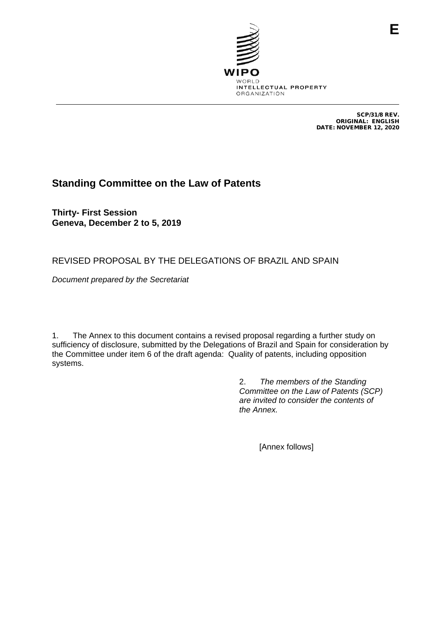

SCP/31/8 REV. ORIGINAL: ENGLISH DATE: NOVEMBER 12, 2020

# **Standing Committee on the Law of Patents**

**Thirty- First Session Geneva, December 2 to 5, 2019**

## REVISED PROPOSAL BY THE DELEGATIONS OF BRAZIL AND SPAIN

*Document prepared by the Secretariat*

1. The Annex to this document contains a revised proposal regarding a further study on sufficiency of disclosure, submitted by the Delegations of Brazil and Spain for consideration by the Committee under item 6 of the draft agenda: Quality of patents, including opposition systems.

> 2. *The members of the Standing Committee on the Law of Patents (SCP) are invited to consider the contents of the Annex.*

> > [Annex follows]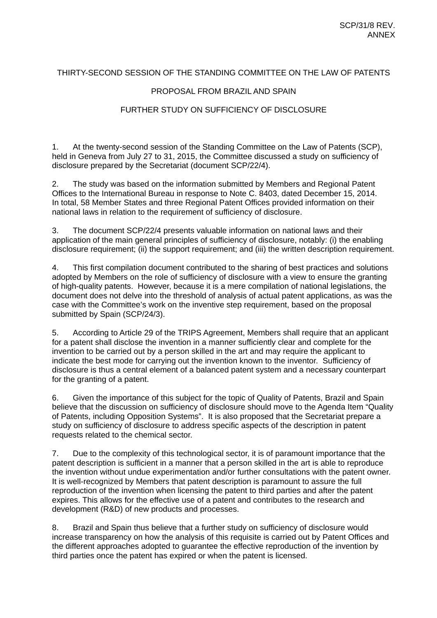## THIRTY-SECOND SESSION OF THE STANDING COMMITTEE ON THE LAW OF PATENTS

### PROPOSAL FROM BRAZIL AND SPAIN

### FURTHER STUDY ON SUFFICIENCY OF DISCLOSURE

1. At the twenty-second session of the Standing Committee on the Law of Patents (SCP), held in Geneva from July 27 to 31, 2015, the Committee discussed a study on sufficiency of disclosure prepared by the Secretariat (document SCP/22/4).

2. The study was based on the information submitted by Members and Regional Patent Offices to the International Bureau in response to Note C. 8403, dated December 15, 2014. In total, 58 Member States and three Regional Patent Offices provided information on their national laws in relation to the requirement of sufficiency of disclosure.

3. The document SCP/22/4 presents valuable information on national laws and their application of the main general principles of sufficiency of disclosure, notably: (i) the enabling disclosure requirement; (ii) the support requirement; and (iii) the written description requirement.

4. This first compilation document contributed to the sharing of best practices and solutions adopted by Members on the role of sufficiency of disclosure with a view to ensure the granting of high-quality patents. However, because it is a mere compilation of national legislations, the document does not delve into the threshold of analysis of actual patent applications, as was the case with the Committee's work on the inventive step requirement, based on the proposal submitted by Spain (SCP/24/3).

5. According to Article 29 of the TRIPS Agreement, Members shall require that an applicant for a patent shall disclose the invention in a manner sufficiently clear and complete for the invention to be carried out by a person skilled in the art and may require the applicant to indicate the best mode for carrying out the invention known to the inventor. Sufficiency of disclosure is thus a central element of a balanced patent system and a necessary counterpart for the granting of a patent.

6. Given the importance of this subject for the topic of Quality of Patents, Brazil and Spain believe that the discussion on sufficiency of disclosure should move to the Agenda Item "Quality of Patents, including Opposition Systems". It is also proposed that the Secretariat prepare a study on sufficiency of disclosure to address specific aspects of the description in patent requests related to the chemical sector.

7. Due to the complexity of this technological sector, it is of paramount importance that the patent description is sufficient in a manner that a person skilled in the art is able to reproduce the invention without undue experimentation and/or further consultations with the patent owner. It is well-recognized by Members that patent description is paramount to assure the full reproduction of the invention when licensing the patent to third parties and after the patent expires. This allows for the effective use of a patent and contributes to the research and development (R&D) of new products and processes.

8. Brazil and Spain thus believe that a further study on sufficiency of disclosure would increase transparency on how the analysis of this requisite is carried out by Patent Offices and the different approaches adopted to guarantee the effective reproduction of the invention by third parties once the patent has expired or when the patent is licensed.